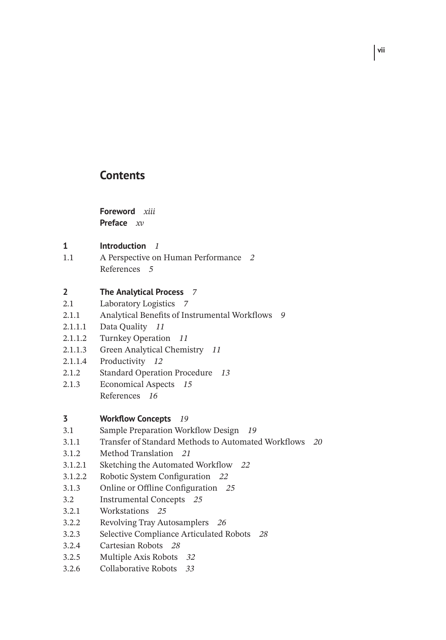## **Contents**

**Foreword** *xiii* **Preface** *xv*

- **1 Introduction** *1*
- 1.1 A Perspective on Human Performance *2* References *5*

## **2 The Analytical Process** *7*

- 2.1 Laboratory Logistics *7*
- 2.1.1 Analytical Benefits of Instrumental Workflows *9*
- 2.1.1.1 Data Quality *11*
- 2.1.1.2 Turnkey Operation *11*
- 2.1.1.3 Green Analytical Chemistry *11*
- 2.1.1.4 Productivity *12*
- 2.1.2 Standard Operation Procedure *13*
- 2.1.3 Economical Aspects *15* References *16*

- **3 Workflow Concepts** *19*
- 3.1 Sample Preparation Workflow Design *19*
- 3.1.1 Transfer of Standard Methods to Automated Workflows *20*
- 3.1.2 Method Translation *21*
- 3.1.2.1 Sketching the Automated Workflow *22*
- 3.1.2.2 Robotic System Configuration *22*
- 3.1.3 Online or Offline Configuration *25*
- 3.2 Instrumental Concepts *25*
- 3.2.1 Workstations *25*
- 3.2.2 Revolving Tray Autosamplers *26*
- 3.2.3 Selective Compliance Articulated Robots *28*
- 3.2.4 Cartesian Robots *28*
- 3.2.5 Multiple Axis Robots *32*
- 3.2.6 Collaborative Robots *33*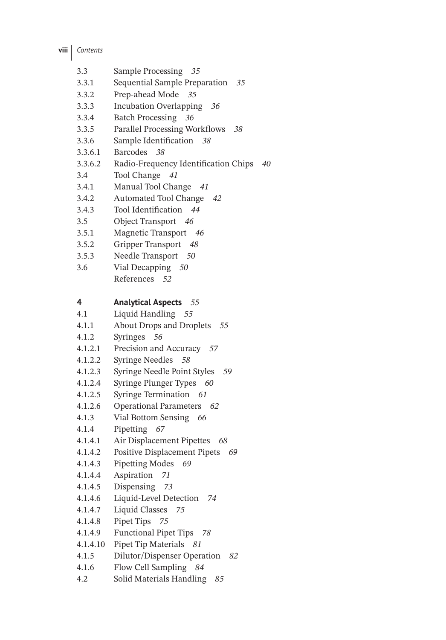- 3.3 Sample Processing *35*
- 3.3.1 Sequential Sample Preparation *35*
- 3.3.2 Prep-ahead Mode *35*
- 3.3.3 Incubation Overlapping *36*
- 3.3.4 Batch Processing *36*
- 3.3.5 Parallel Processing Workflows *38*
- 3.3.6 Sample Identification *38*
- 3.3.6.1 Barcodes *38*
- 3.3.6.2 Radio-Frequency Identification Chips *40*
- 3.4 Tool Change *41*
- 3.4.1 Manual Tool Change *41*
- 3.4.2 Automated Tool Change *42*
- 3.4.3 Tool Identification *44*
- 3.5 Object Transport *46*
- 3.5.1 Magnetic Transport *46*
- 3.5.2 Gripper Transport *48*
- 3.5.3 Needle Transport *50*
- 3.6 Vial Decapping *50* References *52*

## **4 Analytical Aspects** *55*

- 4.1 Liquid Handling *55*
- 4.1.1 About Drops and Droplets *55*
- 4.1.2 Syringes *56*
- 4.1.2.1 Precision and Accuracy *57*
- 4.1.2.2 Syringe Needles *58*
- 4.1.2.3 Syringe Needle Point Styles *59*
- 4.1.2.4 Syringe Plunger Types *60*
- 4.1.2.5 Syringe Termination *61*
- 4.1.2.6 Operational Parameters *62*
- 4.1.3 Vial Bottom Sensing *66*
- 4.1.4 Pipetting *67*
- 4.1.4.1 Air Displacement Pipettes *68*
- 4.1.4.2 Positive Displacement Pipets *69*
- 4.1.4.3 Pipetting Modes *69*
- 4.1.4.4 Aspiration *71*
- 4.1.4.5 Dispensing *73*
- 4.1.4.6 Liquid-Level Detection *74*
- 4.1.4.7 Liquid Classes *75*
- 4.1.4.8 Pipet Tips *75*
- 4.1.4.9 Functional Pipet Tips *78*
- 4.1.4.10 Pipet Tip Materials *81*
- 4.1.5 Dilutor/Dispenser Operation *82*
- 4.1.6 Flow Cell Sampling *84*
- 4.2 Solid Materials Handling *85*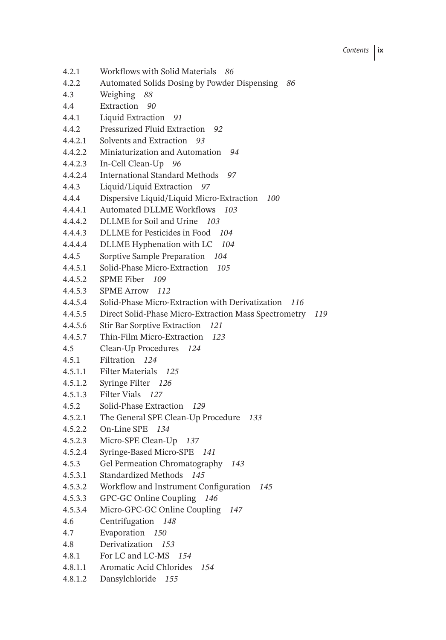- 4.2.1 Workflows with Solid Materials *86*
- 4.2.2 Automated Solids Dosing by Powder Dispensing *86*
- 4.3 Weighing *88*
- 4.4 Extraction *90*
- 4.4.1 Liquid Extraction *91*
- 4.4.2 Pressurized Fluid Extraction *92*
- 4.4.2.1 Solvents and Extraction *93*
- 4.4.2.2 Miniaturization and Automation *94*
- 4.4.2.3 In-Cell Clean-Up *96*
- 4.4.2.4 International Standard Methods *97*
- 4.4.3 Liquid/Liquid Extraction *97*
- 4.4.4 Dispersive Liquid/Liquid Micro-Extraction *100*
- 4.4.4.1 Automated DLLME Workflows *103*
- 4.4.4.2 DLLME for Soil and Urine *103*
- 4.4.4.3 DLLME for Pesticides in Food *104*
- 4.4.4.4 DLLME Hyphenation with LC *104*
- 4.4.5 Sorptive Sample Preparation *104*
- 4.4.5.1 Solid-Phase Micro-Extraction *105*
- 4.4.5.2 SPME Fiber *109*
- 4.4.5.3 SPME Arrow *112*
- 4.4.5.4 Solid-Phase Micro-Extraction with Derivatization *116*
- 4.4.5.5 Direct Solid-Phase Micro-Extraction Mass Spectrometry *119*
- 4.4.5.6 Stir Bar Sorptive Extraction *121*
- 4.4.5.7 Thin-Film Micro-Extraction *123*
- 4.5 Clean-Up Procedures *124*
- 4.5.1 Filtration *124*
- 4.5.1.1 Filter Materials *125*
- 4.5.1.2 Syringe Filter *126*
- 4.5.1.3 Filter Vials *127*
- 4.5.2 Solid-Phase Extraction *129*
- 4.5.2.1 The General SPE Clean-Up Procedure *133*
- 4.5.2.2 On-Line SPE *134*
- 4.5.2.3 Micro-SPE Clean-Up *137*
- 4.5.2.4 Syringe-Based Micro-SPE *141*
- 4.5.3 Gel Permeation Chromatography *143*
- 4.5.3.1 Standardized Methods *145*
- 4.5.3.2 Workflow and Instrument Configuration *145*
- 4.5.3.3 GPC-GC Online Coupling *146*
- 4.5.3.4 Micro-GPC-GC Online Coupling *147*
- 4.6 Centrifugation *148*
- 4.7 Evaporation *150*
- 4.8 Derivatization *153*
- 4.8.1 For LC and LC-MS *154*
- 4.8.1.1 Aromatic Acid Chlorides *154*
- 4.8.1.2 Dansylchloride *155*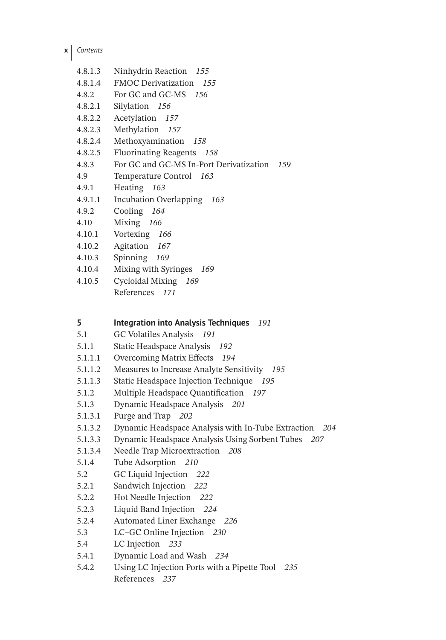**x** *Contents*

| 4.8.1.3 | Ninhydrin Reaction 155                         |
|---------|------------------------------------------------|
| 4.8.1.4 | <b>FMOC Derivatization</b> 155                 |
| 4.8.2   | For GC and GC-MS 156                           |
| 4.8.2.1 | Silylation 156                                 |
| 4.8.2.2 | Acetylation 157                                |
| 4.8.2.3 | Methylation 157                                |
| 4.8.2.4 | Methoxyamination 158                           |
| 4.8.2.5 | Fluorinating Reagents 158                      |
| 4.8.3   | For GC and GC-MS In-Port Derivatization<br>159 |
| 4.9     | Temperature Control 163                        |
| 4.9.1   | Heating 163                                    |
| 4.9.1.1 | Incubation Overlapping 163                     |
| 4.9.2   | Cooling 164                                    |
| 4.10    | Mixing 166                                     |
| 4.10.1  | Vortexing 166                                  |
| 4.10.2  | Agitation 167                                  |
| 4.10.3  | Spinning 169                                   |
| 4.10.4  | Mixing with Syringes 169                       |
| 4.10.5  | Cycloidal Mixing 169                           |
|         |                                                |

References *171*

## **5 Integration into Analysis Techniques** *191*

- 5.1 GC Volatiles Analysis *191*
- 5.1.1 Static Headspace Analysis *192*
- 5.1.1.1 Overcoming Matrix Effects *194*
- 5.1.1.2 Measures to Increase Analyte Sensitivity *195*
- 5.1.1.3 Static Headspace Injection Technique *195*
- 5.1.2 Multiple Headspace Quantification *197*
- 5.1.3 Dynamic Headspace Analysis *201*
- 5.1.3.1 Purge and Trap *202*
- 5.1.3.2 Dynamic Headspace Analysis with In-Tube Extraction *204*
- 5.1.3.3 Dynamic Headspace Analysis Using Sorbent Tubes *207*
- 5.1.3.4 Needle Trap Microextraction *208*
- 5.1.4 Tube Adsorption *210*
- 5.2 GC Liquid Injection *222*
- 5.2.1 Sandwich Injection *222*
- 5.2.2 Hot Needle Injection *222*
- 5.2.3 Liquid Band Injection *224*
- 5.2.4 Automated Liner Exchange *226*
- 5.3 LC–GC Online Injection *230*
- 5.4 LC Injection *233*
- 5.4.1 Dynamic Load and Wash *234*
- 5.4.2 Using LC Injection Ports with a Pipette Tool *235* References *237*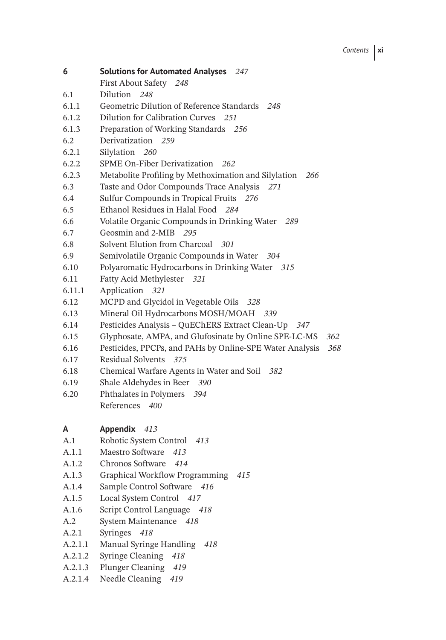- **6 Solutions for Automated Analyses** *247*
	- First About Safety *248*
- 6.1 Dilution *248*
- 6.1.1 Geometric Dilution of Reference Standards *248*
- 6.1.2 Dilution for Calibration Curves *251*
- 6.1.3 Preparation of Working Standards *256*
- 6.2 Derivatization *259*
- 6.2.1 Silylation *260*
- 6.2.2 SPME On-Fiber Derivatization *262*
- 6.2.3 Metabolite Profiling by Methoximation and Silylation *266*
- 6.3 Taste and Odor Compounds Trace Analysis *271*
- 6.4 Sulfur Compounds in Tropical Fruits *276*
- 6.5 Ethanol Residues in Halal Food *284*
- 6.6 Volatile Organic Compounds in Drinking Water *289*
- 6.7 Geosmin and 2-MIB *295*
- 6.8 Solvent Elution from Charcoal *301*
- 6.9 Semivolatile Organic Compounds in Water *304*
- 6.10 Polyaromatic Hydrocarbons in Drinking Water *315*
- 6.11 Fatty Acid Methylester *321*
- 6.11.1 Application *321*
- 6.12 MCPD and Glycidol in Vegetable Oils *328*
- 6.13 Mineral Oil Hydrocarbons MOSH/MOAH *339*
- 6.14 Pesticides Analysis QuEChERS Extract Clean-Up *347*
- 6.15 Glyphosate, AMPA, and Glufosinate by Online SPE-LC-MS *362*
- 6.16 Pesticides, PPCPs, and PAHs by Online-SPE Water Analysis *368*
- 6.17 Residual Solvents *375*
- 6.18 Chemical Warfare Agents in Water and Soil *382*
- 6.19 Shale Aldehydes in Beer *390*
- 6.20 Phthalates in Polymers *394* References *400*
- **A Appendix** *413*
- A.1 Robotic System Control *413*
- A.1.1 Maestro Software *413*
- A.1.2 Chronos Software *414*
- A.1.3 Graphical Workflow Programming *415*
- A.1.4 Sample Control Software *416*
- A.1.5 Local System Control *417*
- A.1.6 Script Control Language *418*
- A.2 System Maintenance *418*
- A.2.1 Syringes *418*
- A.2.1.1 Manual Syringe Handling *418*
- A.2.1.2 Syringe Cleaning *418*
- A.2.1.3 Plunger Cleaning *419*
- A.2.1.4 Needle Cleaning *419*